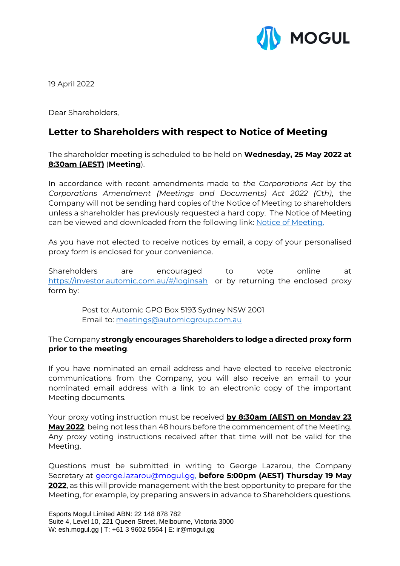

19 April 2022

Dear Shareholders,

## **Letter to Shareholders with respect to Notice of Meeting**

The shareholder meeting is scheduled to be held on **Wednesday, 25 May 2022 at 8:30am (AEST)** (**Meeting**).

In accordance with recent amendments made to *the Corporations Act* by the *Corporations Amendment (Meetings and Documents) Act 2022 (Cth)*, the Company will not be sending hard copies of the Notice of Meeting to shareholders unless a shareholder has previously requested a hard copy. The Notice of Meeting can be viewed and downloaded from the following link: [Notice of Meeting.](https://www2.asx.com.au/markets/trade-our-cash-market/announcements.esh)

As you have not elected to receive notices by email, a copy of your personalised proxy form is enclosed for your convenience.

Shareholders are encouraged to vote online at <https://investor.automic.com.au/#/loginsah>or by returning the enclosed proxy form by:

> Post to: Automic GPO Box 5193 Sydney NSW 2001 Email to: [meetings@automicgroup.com.au](mailto:meetings@automicgroup.com.au)

## The Company **strongly encourages Shareholders to lodge a directed proxy form prior to the meeting**.

If you have nominated an email address and have elected to receive electronic communications from the Company, you will also receive an email to your nominated email address with a link to an electronic copy of the important Meeting documents.

Your proxy voting instruction must be received **by 8:30am (AEST) on Monday 23 May 2022**, being not less than 48 hours before the commencement of the Meeting. Any proxy voting instructions received after that time will not be valid for the Meeting.

Questions must be submitted in writing to George Lazarou, the Company Secretary at [george.lazarou@mogul.gg,](mailto:george.lazarou@mogul.gg) **before 5:00pm (AEST) Thursday 19 May 2022**, as this will provide management with the best opportunity to prepare for the Meeting, for example, by preparing answers in advance to Shareholders questions.